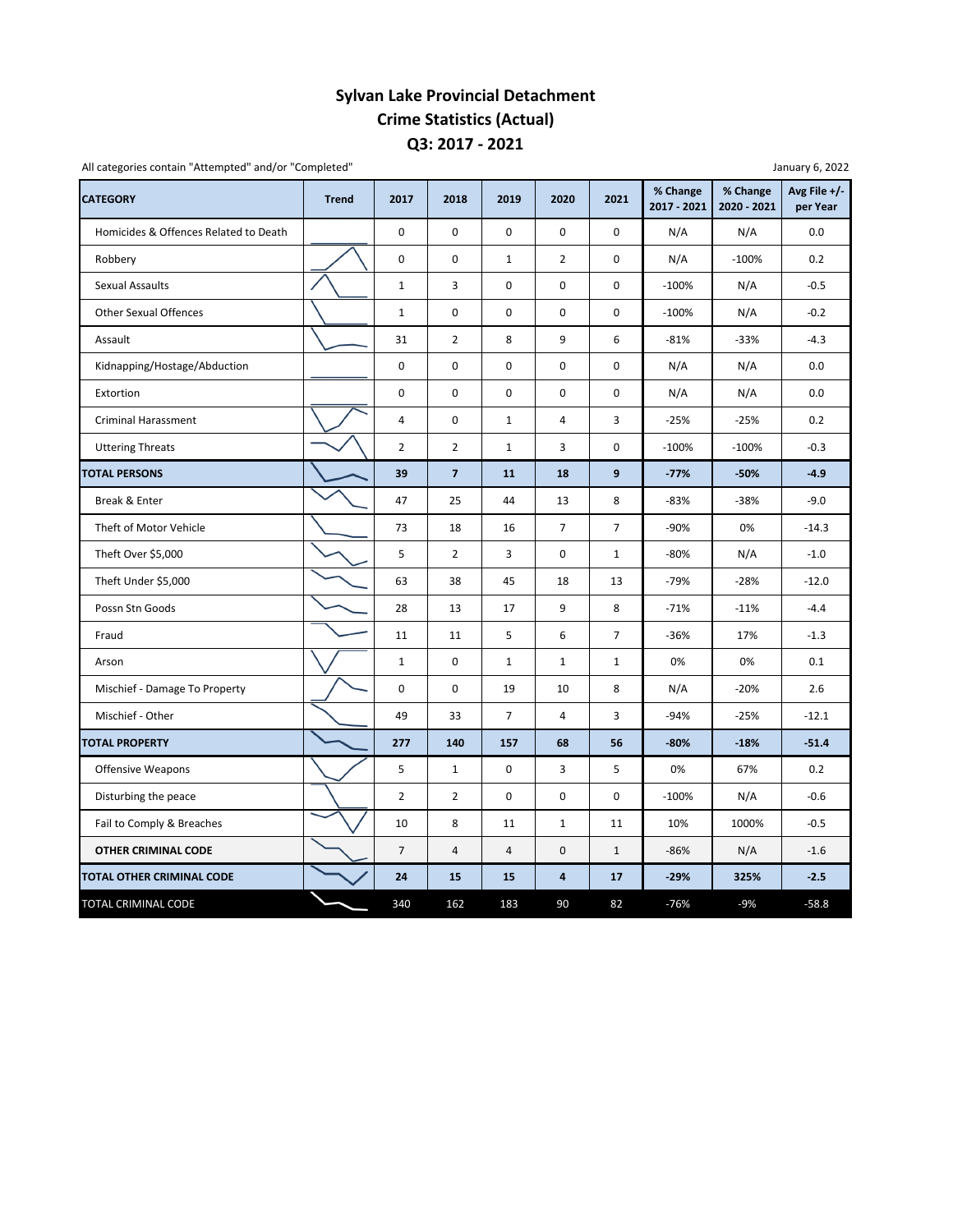## **Q3: 2017 ‐ 2021 Sylvan Lake Provincial Detachment Crime Statistics (Actual)**

| All categories contain "Attempted" and/or "Completed"<br>January 6, 2022 |              |                |                |                |                         |                |                         |                         |                            |  |
|--------------------------------------------------------------------------|--------------|----------------|----------------|----------------|-------------------------|----------------|-------------------------|-------------------------|----------------------------|--|
| <b>CATEGORY</b>                                                          | <b>Trend</b> | 2017           | 2018           | 2019           | 2020                    | 2021           | % Change<br>2017 - 2021 | % Change<br>2020 - 2021 | Avg File $+/-$<br>per Year |  |
| Homicides & Offences Related to Death                                    |              | 0              | $\mathbf 0$    | $\mathbf 0$    | $\mathbf 0$             | 0              | N/A                     | N/A                     | 0.0                        |  |
| Robbery                                                                  |              | 0              | $\mathbf 0$    | $\mathbf{1}$   | $\overline{2}$          | 0              | N/A                     | $-100%$                 | 0.2                        |  |
| Sexual Assaults                                                          |              | $\mathbf 1$    | 3              | $\mathbf 0$    | 0                       | 0              | $-100%$                 | N/A                     | $-0.5$                     |  |
| <b>Other Sexual Offences</b>                                             |              | $\mathbf{1}$   | 0              | $\mathbf 0$    | 0                       | 0              | $-100%$                 | N/A                     | $-0.2$                     |  |
| Assault                                                                  |              | 31             | $\overline{2}$ | 8              | 9                       | 6              | $-81%$                  | $-33%$                  | $-4.3$                     |  |
| Kidnapping/Hostage/Abduction                                             |              | 0              | 0              | $\pmb{0}$      | 0                       | 0              | N/A                     | N/A                     | 0.0                        |  |
| Extortion                                                                |              | 0              | 0              | $\mathbf 0$    | 0                       | 0              | N/A                     | N/A                     | 0.0                        |  |
| Criminal Harassment                                                      |              | 4              | 0              | $\mathbf{1}$   | $\overline{\mathbf{4}}$ | 3              | $-25%$                  | $-25%$                  | 0.2                        |  |
| <b>Uttering Threats</b>                                                  |              | $\overline{2}$ | $\overline{2}$ | $\mathbf{1}$   | 3                       | 0              | $-100%$                 | $-100%$                 | $-0.3$                     |  |
| <b>TOTAL PERSONS</b>                                                     |              | 39             | $\overline{7}$ | 11             | 18                      | 9              | $-77%$                  | $-50%$                  | $-4.9$                     |  |
| Break & Enter                                                            |              | 47             | 25             | 44             | 13                      | 8              | $-83%$                  | $-38%$                  | $-9.0$                     |  |
| Theft of Motor Vehicle                                                   |              | 73             | 18             | 16             | $\overline{7}$          | $\overline{7}$ | $-90%$                  | 0%                      | $-14.3$                    |  |
| Theft Over \$5,000                                                       |              | 5              | $\overline{2}$ | 3              | $\mathbf 0$             | $\mathbf{1}$   | $-80%$                  | N/A                     | $-1.0$                     |  |
| Theft Under \$5,000                                                      |              | 63             | 38             | 45             | 18                      | 13             | $-79%$                  | $-28%$                  | $-12.0$                    |  |
| Possn Stn Goods                                                          |              | 28             | 13             | 17             | 9                       | 8              | $-71%$                  | $-11%$                  | $-4.4$                     |  |
| Fraud                                                                    |              | 11             | 11             | 5              | 6                       | 7              | $-36%$                  | 17%                     | $-1.3$                     |  |
| Arson                                                                    |              | $\mathbf{1}$   | $\mathbf 0$    | $\mathbf{1}$   | $\mathbf{1}$            | $\mathbf{1}$   | 0%                      | 0%                      | 0.1                        |  |
| Mischief - Damage To Property                                            |              | 0              | $\mathbf 0$    | 19             | 10                      | 8              | N/A                     | $-20%$                  | 2.6                        |  |
| Mischief - Other                                                         |              | 49             | 33             | $\overline{7}$ | 4                       | 3              | $-94%$                  | $-25%$                  | $-12.1$                    |  |
| <b>TOTAL PROPERTY</b>                                                    |              | 277            | 140            | 157            | 68                      | 56             | $-80%$                  | $-18%$                  | $-51.4$                    |  |
| Offensive Weapons                                                        |              | 5              | $\mathbf{1}$   | 0              | 3                       | 5              | 0%                      | 67%                     | 0.2                        |  |
| Disturbing the peace                                                     |              | $\overline{2}$ | $\overline{2}$ | $\pmb{0}$      | 0                       | 0              | $-100%$                 | N/A                     | $-0.6$                     |  |
| Fail to Comply & Breaches                                                |              | 10             | 8              | 11             | $\mathbf{1}$            | 11             | 10%                     | 1000%                   | $-0.5$                     |  |
| <b>OTHER CRIMINAL CODE</b>                                               |              | $\overline{7}$ | 4              | 4              | $\mathbf 0$             | $\mathbf{1}$   | $-86%$                  | N/A                     | $-1.6$                     |  |
| TOTAL OTHER CRIMINAL CODE                                                |              | 24             | 15             | 15             | $\overline{\mathbf{4}}$ | 17             | $-29%$                  | 325%                    | $-2.5$                     |  |
| TOTAL CRIMINAL CODE                                                      |              | 340            | 162            | 183            | 90                      | 82             | $-76%$                  | $-9%$                   | $-58.8$                    |  |

January 6, 2022